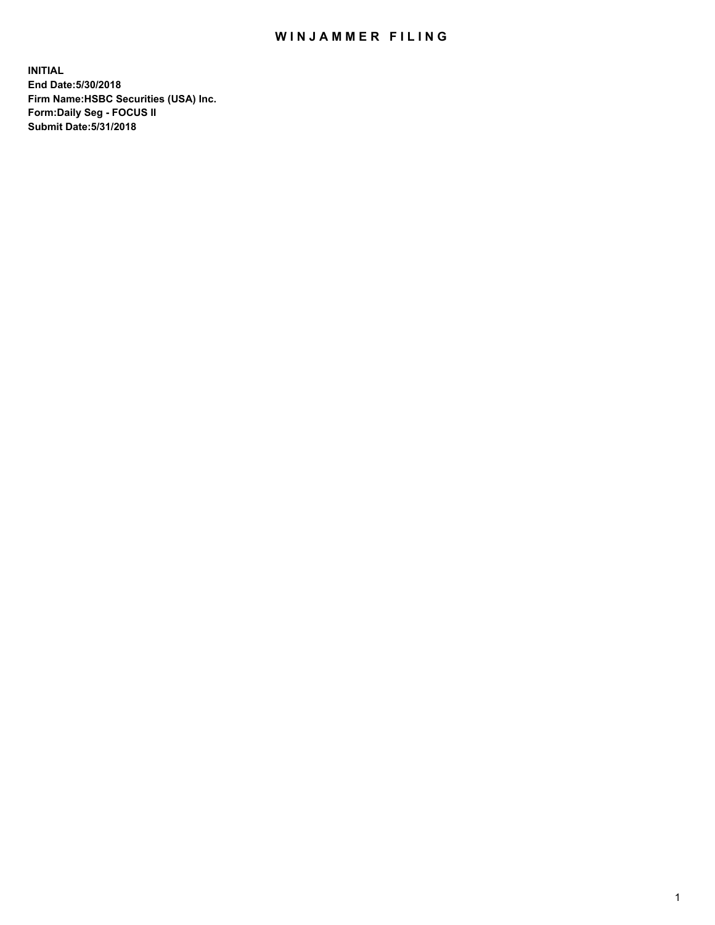## WIN JAMMER FILING

**INITIAL End Date:5/30/2018 Firm Name:HSBC Securities (USA) Inc. Form:Daily Seg - FOCUS II Submit Date:5/31/2018**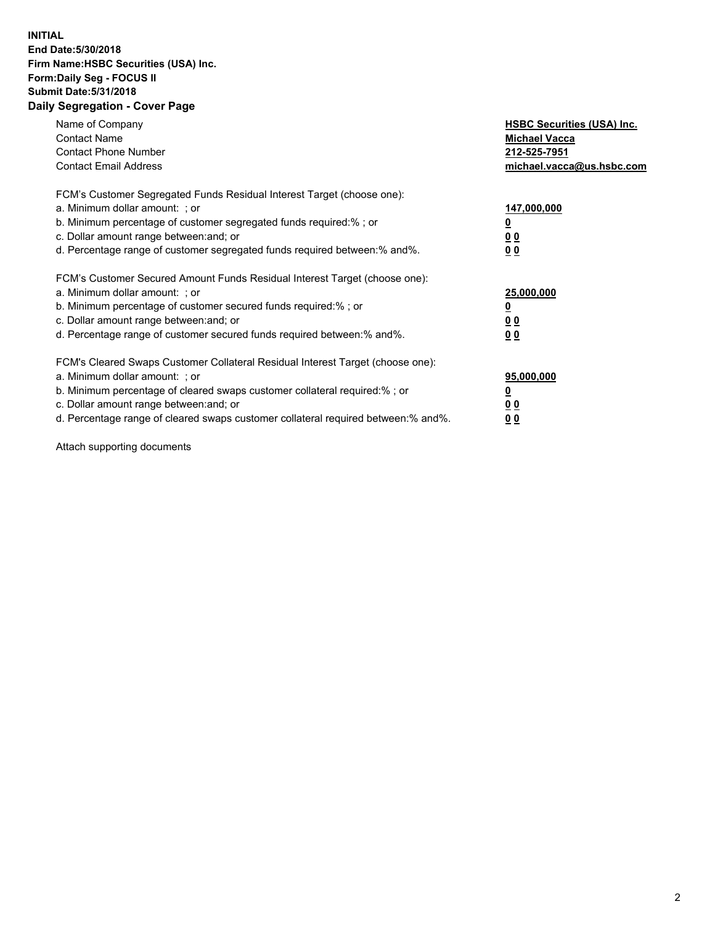## **INITIAL End Date:5/30/2018 Firm Name:HSBC Securities (USA) Inc. Form:Daily Seg - FOCUS II Submit Date:5/31/2018 Daily Segregation - Cover Page**

| Name of Company<br><b>Contact Name</b><br><b>Contact Phone Number</b><br><b>Contact Email Address</b>                                                                                                                                                                                                                         | <b>HSBC Securities (USA) Inc.</b><br><b>Michael Vacca</b><br>212-525-7951<br>michael.vacca@us.hsbc.com |
|-------------------------------------------------------------------------------------------------------------------------------------------------------------------------------------------------------------------------------------------------------------------------------------------------------------------------------|--------------------------------------------------------------------------------------------------------|
| FCM's Customer Segregated Funds Residual Interest Target (choose one):<br>a. Minimum dollar amount: ; or<br>b. Minimum percentage of customer segregated funds required:%; or<br>c. Dollar amount range between: and; or<br>d. Percentage range of customer segregated funds required between: % and %.                       | 147,000,000<br><u>0</u><br><u>00</u><br>00                                                             |
| FCM's Customer Secured Amount Funds Residual Interest Target (choose one):<br>a. Minimum dollar amount: ; or<br>b. Minimum percentage of customer secured funds required:%; or<br>c. Dollar amount range between: and; or<br>d. Percentage range of customer secured funds required between: % and %.                         | 25,000,000<br><u>0</u><br><u>00</u><br>00                                                              |
| FCM's Cleared Swaps Customer Collateral Residual Interest Target (choose one):<br>a. Minimum dollar amount: ; or<br>b. Minimum percentage of cleared swaps customer collateral required:%; or<br>c. Dollar amount range between: and; or<br>d. Percentage range of cleared swaps customer collateral required between:% and%. | 95,000,000<br><u>0</u><br><u>00</u><br><u>00</u>                                                       |

Attach supporting documents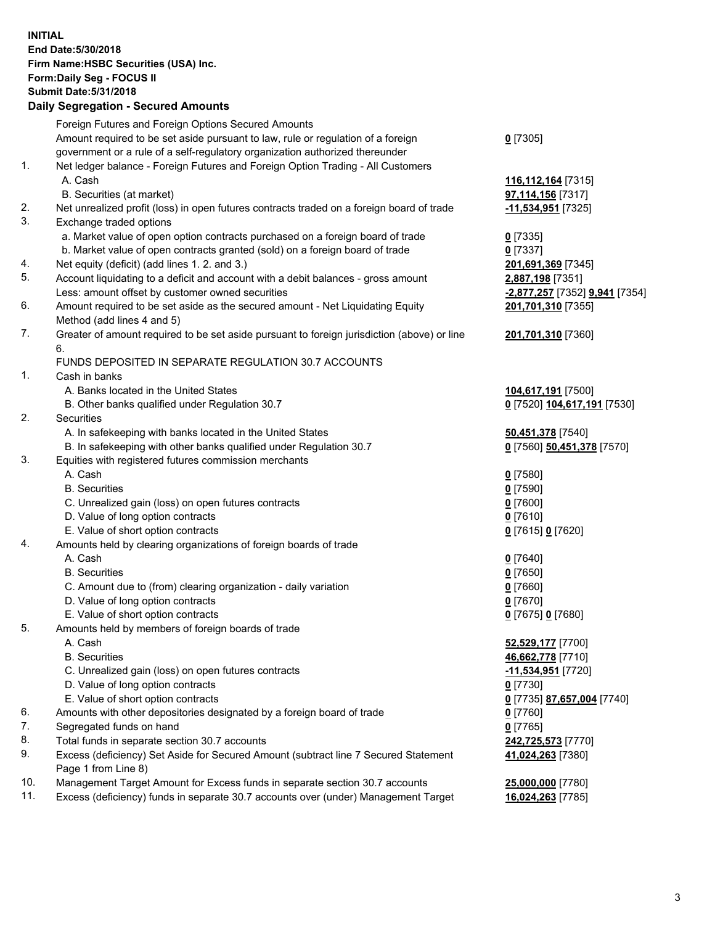**INITIAL End Date:5/30/2018 Firm Name:HSBC Securities (USA) Inc. Form:Daily Seg - FOCUS II Submit Date:5/31/2018 Daily Segregation - Secured Amounts** Foreign Futures and Foreign Options Secured Amounts Amount required to be set aside pursuant to law, rule or regulation of a foreign government or a rule of a self-regulatory organization authorized thereunder **0** [7305] 1. Net ledger balance - Foreign Futures and Foreign Option Trading - All Customers A. Cash **116,112,164** [7315] B. Securities (at market) **97,114,156** [7317] 2. Net unrealized profit (loss) in open futures contracts traded on a foreign board of trade **-11,534,951** [7325] 3. Exchange traded options a. Market value of open option contracts purchased on a foreign board of trade **0** [7335] b. Market value of open contracts granted (sold) on a foreign board of trade **0** [7337] 4. Net equity (deficit) (add lines 1. 2. and 3.) **201,691,369** [7345] 5. Account liquidating to a deficit and account with a debit balances - gross amount **2,887,198** [7351] Less: amount offset by customer owned securities **-2,877,257** [7352] **9,941** [7354] 6. Amount required to be set aside as the secured amount - Net Liquidating Equity Method (add lines 4 and 5) **201,701,310** [7355] 7. Greater of amount required to be set aside pursuant to foreign jurisdiction (above) or line 6. **201,701,310** [7360] FUNDS DEPOSITED IN SEPARATE REGULATION 30.7 ACCOUNTS 1. Cash in banks A. Banks located in the United States **104,617,191** [7500] B. Other banks qualified under Regulation 30.7 **0** [7520] **104,617,191** [7530] 2. Securities A. In safekeeping with banks located in the United States **50,451,378** [7540] B. In safekeeping with other banks qualified under Regulation 30.7 **0** [7560] **50,451,378** [7570] 3. Equities with registered futures commission merchants A. Cash **0** [7580] B. Securities **0** [7590] C. Unrealized gain (loss) on open futures contracts **0** [7600] D. Value of long option contracts **0** [7610] E. Value of short option contracts **0** [7615] **0** [7620] 4. Amounts held by clearing organizations of foreign boards of trade A. Cash **0** [7640] B. Securities **0** [7650] C. Amount due to (from) clearing organization - daily variation **0** [7660] D. Value of long option contracts **0** [7670] E. Value of short option contracts **0** [7675] **0** [7680] 5. Amounts held by members of foreign boards of trade A. Cash **52,529,177** [7700]

- B. Securities **46,662,778** [7710]
- C. Unrealized gain (loss) on open futures contracts **-11,534,951** [7720]
- D. Value of long option contracts **0** [7730]
- E. Value of short option contracts **0** [7735] **87,657,004** [7740]
- 6. Amounts with other depositories designated by a foreign board of trade **0** [7760]
- 7. Segregated funds on hand **0** [7765]
- 8. Total funds in separate section 30.7 accounts **242,725,573** [7770]
- 9. Excess (deficiency) Set Aside for Secured Amount (subtract line 7 Secured Statement Page 1 from Line 8)
- 10. Management Target Amount for Excess funds in separate section 30.7 accounts **25,000,000** [7780]
- 11. Excess (deficiency) funds in separate 30.7 accounts over (under) Management Target **16,024,263** [7785]

**41,024,263** [7380]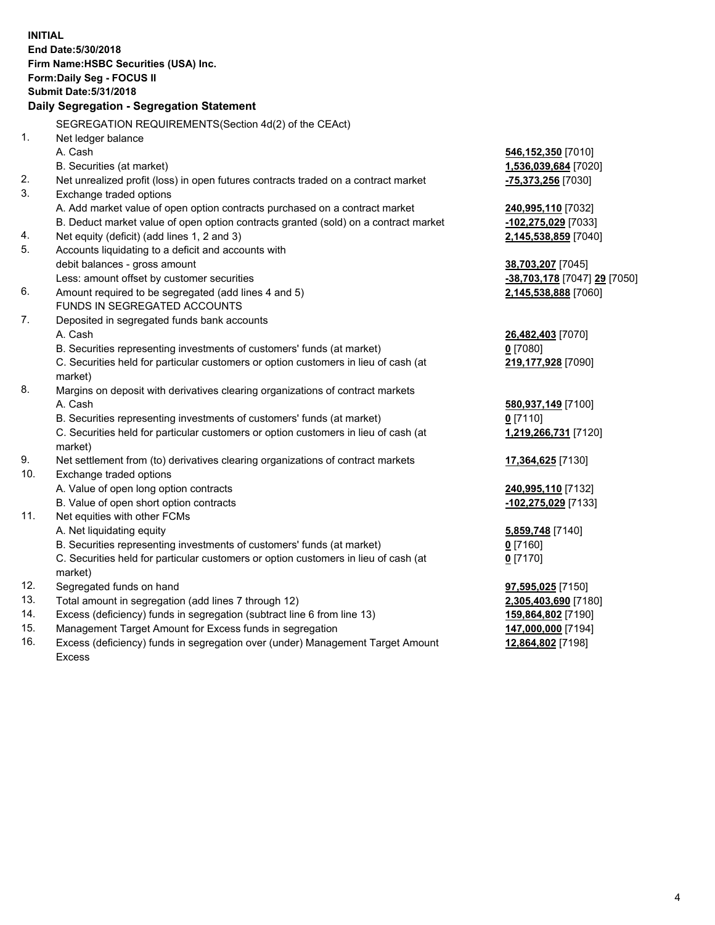**INITIAL End Date:5/30/2018 Firm Name:HSBC Securities (USA) Inc. Form:Daily Seg - FOCUS II Submit Date:5/31/2018 Daily Segregation - Segregation Statement** SEGREGATION REQUIREMENTS(Section 4d(2) of the CEAct) 1. Net ledger balance A. Cash **546,152,350** [7010] B. Securities (at market) **1,536,039,684** [7020] 2. Net unrealized profit (loss) in open futures contracts traded on a contract market **-75,373,256** [7030] 3. Exchange traded options A. Add market value of open option contracts purchased on a contract market **240,995,110** [7032] B. Deduct market value of open option contracts granted (sold) on a contract market **-102,275,029** [7033] 4. Net equity (deficit) (add lines 1, 2 and 3) **2,145,538,859** [7040] 5. Accounts liquidating to a deficit and accounts with debit balances - gross amount **38,703,207** [7045] Less: amount offset by customer securities **-38,703,178** [7047] **29** [7050] 6. Amount required to be segregated (add lines 4 and 5) **2,145,538,888** [7060] FUNDS IN SEGREGATED ACCOUNTS 7. Deposited in segregated funds bank accounts A. Cash **26,482,403** [7070] B. Securities representing investments of customers' funds (at market) **0** [7080] C. Securities held for particular customers or option customers in lieu of cash (at market) **219,177,928** [7090] 8. Margins on deposit with derivatives clearing organizations of contract markets A. Cash **580,937,149** [7100] B. Securities representing investments of customers' funds (at market) **0** [7110] C. Securities held for particular customers or option customers in lieu of cash (at market) **1,219,266,731** [7120] 9. Net settlement from (to) derivatives clearing organizations of contract markets **17,364,625** [7130] 10. Exchange traded options A. Value of open long option contracts **240,995,110** [7132] B. Value of open short option contracts **-102,275,029** [7133] 11. Net equities with other FCMs A. Net liquidating equity **5,859,748** [7140] B. Securities representing investments of customers' funds (at market) **0** [7160] C. Securities held for particular customers or option customers in lieu of cash (at market) **0** [7170] 12. Segregated funds on hand **97,595,025** [7150] 13. Total amount in segregation (add lines 7 through 12) **2,305,403,690** [7180] 14. Excess (deficiency) funds in segregation (subtract line 6 from line 13) **159,864,802** [7190] 15. Management Target Amount for Excess funds in segregation **147,000,000** [7194]

16. Excess (deficiency) funds in segregation over (under) Management Target Amount Excess

**12,864,802** [7198]